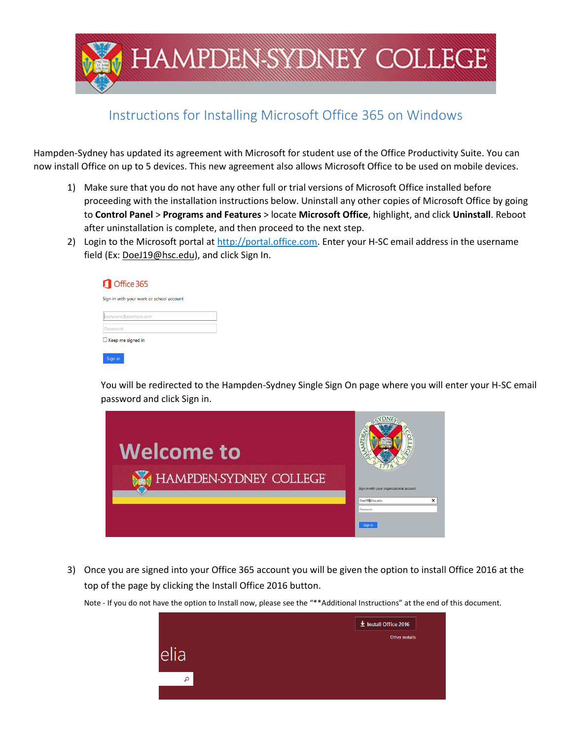

## Instructions for Installing Microsoft Office 365 on Windows

Hampden-Sydney has updated its agreement with Microsoft for student use of the Office Productivity Suite. You can now install Office on up to 5 devices. This new agreement also allows Microsoft Office to be used on mobile devices.

- 1) Make sure that you do not have any other full or trial versions of Microsoft Office installed before proceeding with the installation instructions below. Uninstall any other copies of Microsoft Office by going to **Control Panel** > **Programs and Features** > locate **Microsoft Office**, highlight, and click **Uninstall**. Reboot after uninstallation is complete, and then proceed to the next step.
- 2) Login to the Microsoft portal at [http://portal.office.com.](http://portal.office.com/) Enter your H-SC email address in the username field (Ex: [DoeJ19@hsc.edu\)](mailto:DoeJ19@hsc.edu), and click Sign In.

| Office 365                               |
|------------------------------------------|
| Sign in with your work or school account |
| someone@example.com                      |
| Password                                 |
| $\Box$ Keep me signed in                 |
| Sian in                                  |

You will be redirected to the Hampden-Sydney Single Sign On page where you will enter your H-SC email password and click Sign in.



3) Once you are signed into your Office 365 account you will be given the option to install Office 2016 at the top of the page by clicking the Install Office 2016 button.

Note - If you do not have the option to Install now, please see the "\*\*Additional Instructions" at the end of this document.